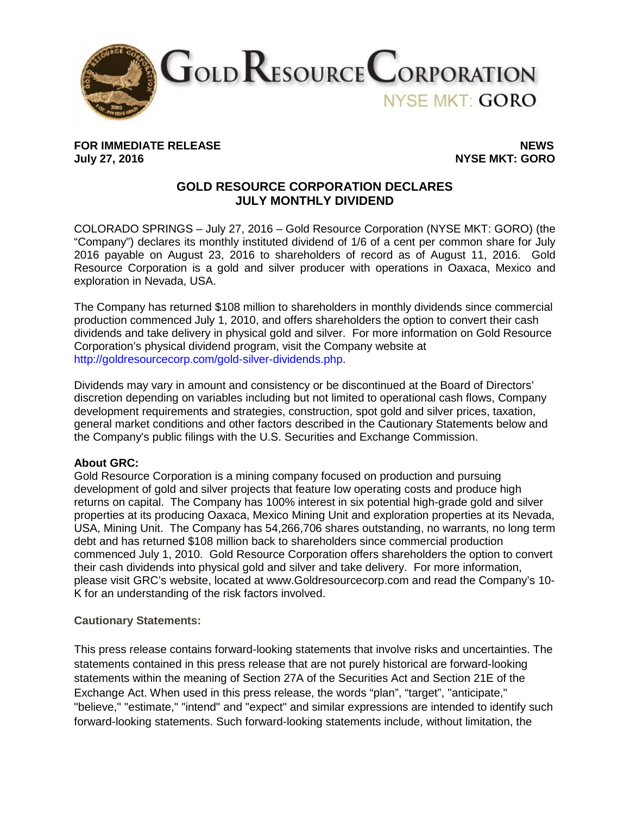

FOR IMMEDIATE RELEASE NEWS<br>July 27, 2016 **NEWS** 

**July 27, 2016 NYSE MKT: GORO**

## **GOLD RESOURCE CORPORATION DECLARES JULY MONTHLY DIVIDEND**

COLORADO SPRINGS – July 27, 2016 – Gold Resource Corporation (NYSE MKT: GORO) (the "Company") declares its monthly instituted dividend of 1/6 of a cent per common share for July 2016 payable on August 23, 2016 to shareholders of record as of August 11, 2016. Gold Resource Corporation is a gold and silver producer with operations in Oaxaca, Mexico and exploration in Nevada, USA.

The Company has returned \$108 million to shareholders in monthly dividends since commercial production commenced July 1, 2010, and offers shareholders the option to convert their cash dividends and take delivery in physical gold and silver. For more information on Gold Resource Corporation's physical dividend program, visit the Company website at http://goldresourcecorp.com/gold-silver-dividends.php.

Dividends may vary in amount and consistency or be discontinued at the Board of Directors' discretion depending on variables including but not limited to operational cash flows, Company development requirements and strategies, construction, spot gold and silver prices, taxation, general market conditions and other factors described in the Cautionary Statements below and the Company's public filings with the U.S. Securities and Exchange Commission.

## **About GRC:**

Gold Resource Corporation is a mining company focused on production and pursuing development of gold and silver projects that feature low operating costs and produce high returns on capital. The Company has 100% interest in six potential high-grade gold and silver properties at its producing Oaxaca, Mexico Mining Unit and exploration properties at its Nevada, USA, Mining Unit. The Company has 54,266,706 shares outstanding, no warrants, no long term debt and has returned \$108 million back to shareholders since commercial production commenced July 1, 2010. Gold Resource Corporation offers shareholders the option to convert their cash dividends into physical gold and silver and take delivery. For more information, please visit GRC's website, located at www.Goldresourcecorp.com and read the Company's 10- K for an understanding of the risk factors involved.

## **Cautionary Statements:**

This press release contains forward-looking statements that involve risks and uncertainties. The statements contained in this press release that are not purely historical are forward-looking statements within the meaning of Section 27A of the Securities Act and Section 21E of the Exchange Act. When used in this press release, the words "plan", "target", "anticipate," "believe," "estimate," "intend" and "expect" and similar expressions are intended to identify such forward-looking statements. Such forward-looking statements include, without limitation, the